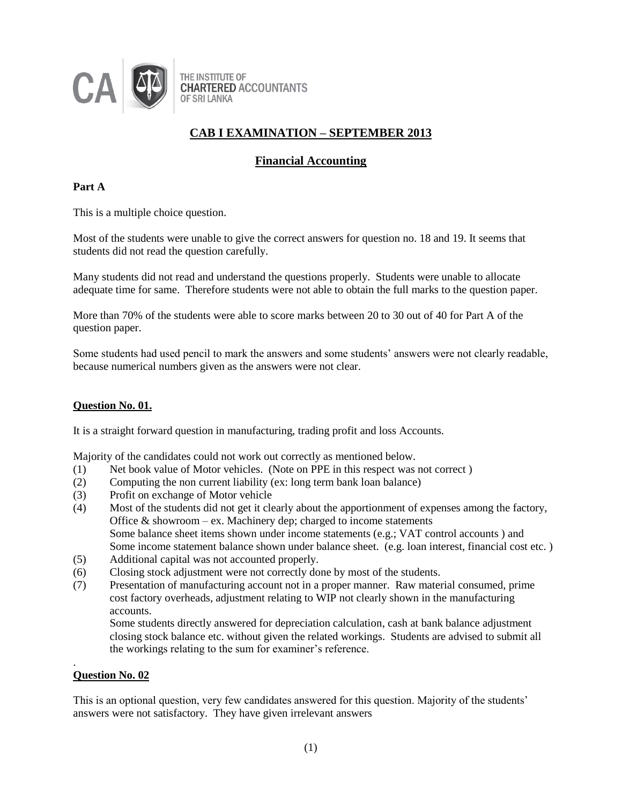

## **Financial Accounting**

### **Part A**

This is a multiple choice question.

Most of the students were unable to give the correct answers for question no. 18 and 19. It seems that students did not read the question carefully.

Many students did not read and understand the questions properly. Students were unable to allocate adequate time for same. Therefore students were not able to obtain the full marks to the question paper.

More than 70% of the students were able to score marks between 20 to 30 out of 40 for Part A of the question paper.

Some students had used pencil to mark the answers and some students' answers were not clearly readable, because numerical numbers given as the answers were not clear.

#### **Question No. 01.**

It is a straight forward question in manufacturing, trading profit and loss Accounts.

Majority of the candidates could not work out correctly as mentioned below.

- (1) Net book value of Motor vehicles. (Note on PPE in this respect was not correct )
- (2) Computing the non current liability (ex: long term bank loan balance)
- (3) Profit on exchange of Motor vehicle
- (4) Most of the students did not get it clearly about the apportionment of expenses among the factory, Office  $&$  showroom – ex. Machinery dep; charged to income statements Some balance sheet items shown under income statements (e.g.; VAT control accounts ) and Some income statement balance shown under balance sheet. (e.g. loan interest, financial cost etc. )
- (5) Additional capital was not accounted properly.
- (6) Closing stock adjustment were not correctly done by most of the students.
- (7) Presentation of manufacturing account not in a proper manner. Raw material consumed, prime cost factory overheads, adjustment relating to WIP not clearly shown in the manufacturing accounts.

Some students directly answered for depreciation calculation, cash at bank balance adjustment closing stock balance etc. without given the related workings. Students are advised to submit all the workings relating to the sum for examiner's reference.

#### **Question No. 02**

.

This is an optional question, very few candidates answered for this question. Majority of the students' answers were not satisfactory. They have given irrelevant answers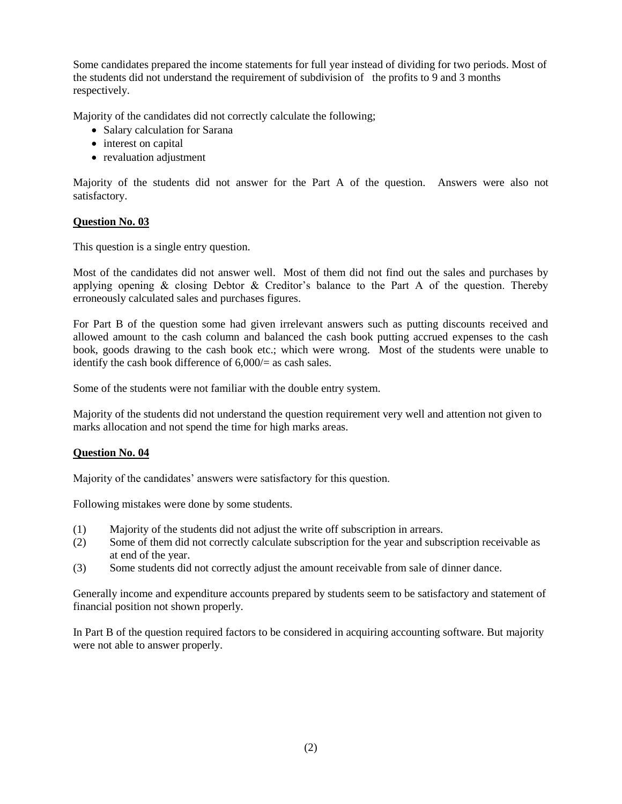Some candidates prepared the income statements for full year instead of dividing for two periods. Most of the students did not understand the requirement of subdivision of the profits to 9 and 3 months respectively.

Majority of the candidates did not correctly calculate the following;

- Salary calculation for Sarana
- interest on capital
- revaluation adjustment

Majority of the students did not answer for the Part A of the question. Answers were also not satisfactory.

#### **Question No. 03**

This question is a single entry question.

Most of the candidates did not answer well. Most of them did not find out the sales and purchases by applying opening  $\&$  closing Debtor  $\&$  Creditor's balance to the Part A of the question. Thereby erroneously calculated sales and purchases figures.

For Part B of the question some had given irrelevant answers such as putting discounts received and allowed amount to the cash column and balanced the cash book putting accrued expenses to the cash book, goods drawing to the cash book etc.; which were wrong. Most of the students were unable to identify the cash book difference of  $6,000/=\text{as cash sales.}$ 

Some of the students were not familiar with the double entry system.

Majority of the students did not understand the question requirement very well and attention not given to marks allocation and not spend the time for high marks areas.

#### **Question No. 04**

Majority of the candidates' answers were satisfactory for this question.

Following mistakes were done by some students.

- (1) Majority of the students did not adjust the write off subscription in arrears.
- (2) Some of them did not correctly calculate subscription for the year and subscription receivable as at end of the year.
- (3) Some students did not correctly adjust the amount receivable from sale of dinner dance.

Generally income and expenditure accounts prepared by students seem to be satisfactory and statement of financial position not shown properly.

In Part B of the question required factors to be considered in acquiring accounting software. But majority were not able to answer properly.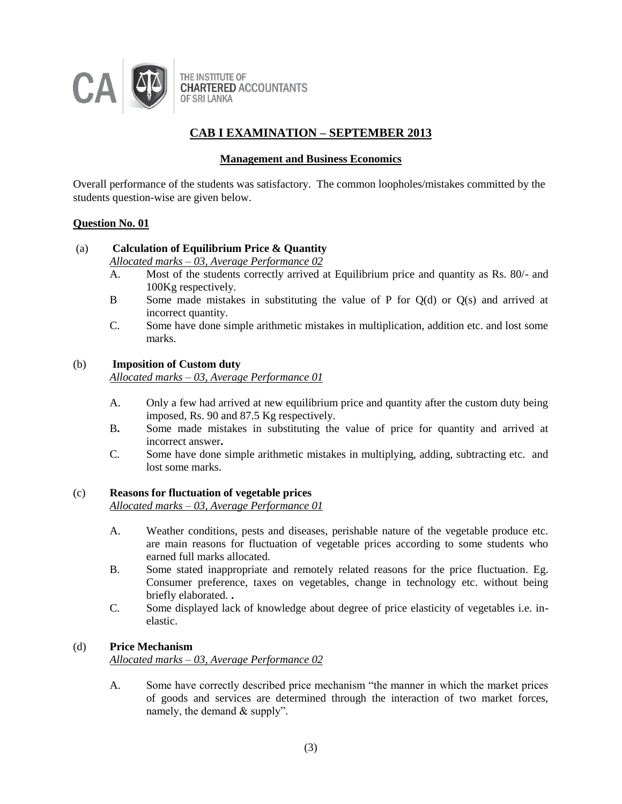

#### **Management and Business Economics**

Overall performance of the students was satisfactory. The common loopholes/mistakes committed by the students question-wise are given below.

#### **Question No. 01**

## (a) **Calculation of Equilibrium Price & Quantity**

*Allocated marks – 03, Average Performance 02*

- A. Most of the students correctly arrived at Equilibrium price and quantity as Rs. 80/- and 100Kg respectively.
- B Some made mistakes in substituting the value of P for Q(d) or Q(s) and arrived at incorrect quantity.
- C. Some have done simple arithmetic mistakes in multiplication, addition etc. and lost some marks.

#### (b) **Imposition of Custom duty**

*Allocated marks – 03, Average Performance 01*

- A. Only a few had arrived at new equilibrium price and quantity after the custom duty being imposed, Rs. 90 and 87.5 Kg respectively.
- B**.** Some made mistakes in substituting the value of price for quantity and arrived at incorrect answer**.**
- C. Some have done simple arithmetic mistakes in multiplying, adding, subtracting etc. and lost some marks.

#### (c) **Reasons for fluctuation of vegetable prices**

*Allocated marks – 03, Average Performance 01*

- A. Weather conditions, pests and diseases, perishable nature of the vegetable produce etc. are main reasons for fluctuation of vegetable prices according to some students who earned full marks allocated.
- B. Some stated inappropriate and remotely related reasons for the price fluctuation. Eg. Consumer preference, taxes on vegetables, change in technology etc. without being briefly elaborated. **.**
- C. Some displayed lack of knowledge about degree of price elasticity of vegetables i.e. inelastic.

### (d) **Price Mechanism**

*Allocated marks – 03, Average Performance 02*

A. Some have correctly described price mechanism "the manner in which the market prices of goods and services are determined through the interaction of two market forces, namely, the demand  $&$  supply".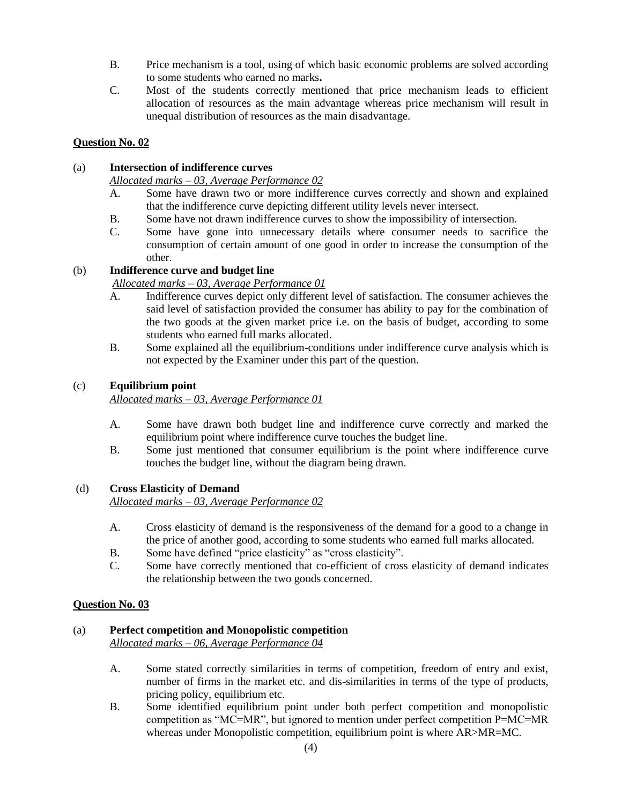- B. Price mechanism is a tool, using of which basic economic problems are solved according to some students who earned no marks**.**
- C. Most of the students correctly mentioned that price mechanism leads to efficient allocation of resources as the main advantage whereas price mechanism will result in unequal distribution of resources as the main disadvantage.

## **Question No. 02**

### (a) **Intersection of indifference curves**

*Allocated marks – 03, Average Performance 02*

- A. Some have drawn two or more indifference curves correctly and shown and explained that the indifference curve depicting different utility levels never intersect.
- B. Some have not drawn indifference curves to show the impossibility of intersection.
- C. Some have gone into unnecessary details where consumer needs to sacrifice the consumption of certain amount of one good in order to increase the consumption of the other.

## (b) **Indifference curve and budget line**

### *Allocated marks – 03, Average Performance 01*

- A. Indifference curves depict only different level of satisfaction. The consumer achieves the said level of satisfaction provided the consumer has ability to pay for the combination of the two goods at the given market price i.e. on the basis of budget, according to some students who earned full marks allocated.
- B. Some explained all the equilibrium-conditions under indifference curve analysis which is not expected by the Examiner under this part of the question.

#### (c) **Equilibrium point**

*Allocated marks – 03, Average Performance 01*

- A. Some have drawn both budget line and indifference curve correctly and marked the equilibrium point where indifference curve touches the budget line.
- B. Some just mentioned that consumer equilibrium is the point where indifference curve touches the budget line, without the diagram being drawn.

#### (d) **Cross Elasticity of Demand**

*Allocated marks – 03, Average Performance 02*

- A. Cross elasticity of demand is the responsiveness of the demand for a good to a change in the price of another good, according to some students who earned full marks allocated.
- B. Some have defined "price elasticity" as "cross elasticity".
- C. Some have correctly mentioned that co-efficient of cross elasticity of demand indicates the relationship between the two goods concerned.

## **Question No. 03**

#### (a) **Perfect competition and Monopolistic competition**

*Allocated marks – 06, Average Performance 04*

- A. Some stated correctly similarities in terms of competition, freedom of entry and exist, number of firms in the market etc. and dis-similarities in terms of the type of products, pricing policy, equilibrium etc.
- B. Some identified equilibrium point under both perfect competition and monopolistic competition as "MC=MR", but ignored to mention under perfect competition P=MC=MR whereas under Monopolistic competition, equilibrium point is where AR>MR=MC.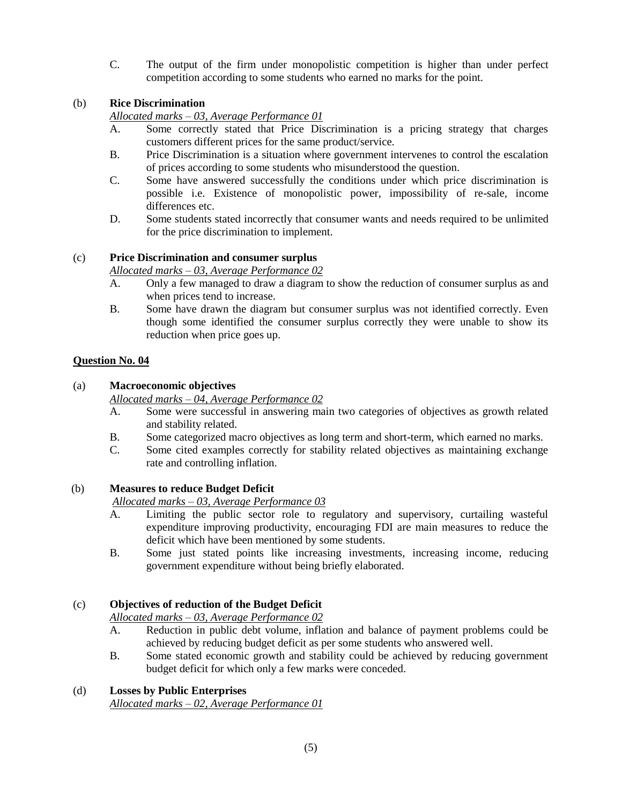C. The output of the firm under monopolistic competition is higher than under perfect competition according to some students who earned no marks for the point.

### (b) **Rice Discrimination**

*Allocated marks – 03, Average Performance 01*

- A. Some correctly stated that Price Discrimination is a pricing strategy that charges customers different prices for the same product/service.
- B. Price Discrimination is a situation where government intervenes to control the escalation of prices according to some students who misunderstood the question.
- C. Some have answered successfully the conditions under which price discrimination is possible i.e. Existence of monopolistic power, impossibility of re-sale, income differences etc.
- D. Some students stated incorrectly that consumer wants and needs required to be unlimited for the price discrimination to implement.

### (c) **Price Discrimination and consumer surplus**

*Allocated marks – 03, Average Performance 02*

- A. Only a few managed to draw a diagram to show the reduction of consumer surplus as and when prices tend to increase.
- B. Some have drawn the diagram but consumer surplus was not identified correctly. Even though some identified the consumer surplus correctly they were unable to show its reduction when price goes up.

### **Question No. 04**

### (a) **Macroeconomic objectives**

*Allocated marks – 04, Average Performance 02*

- A. Some were successful in answering main two categories of objectives as growth related and stability related.
- B. Some categorized macro objectives as long term and short-term, which earned no marks.
- C. Some cited examples correctly for stability related objectives as maintaining exchange rate and controlling inflation.

#### (b) **Measures to reduce Budget Deficit**

*Allocated marks – 03, Average Performance 03*

- A. Limiting the public sector role to regulatory and supervisory, curtailing wasteful expenditure improving productivity, encouraging FDI are main measures to reduce the deficit which have been mentioned by some students.
- B. Some just stated points like increasing investments, increasing income, reducing government expenditure without being briefly elaborated.

## (c) **Objectives of reduction of the Budget Deficit**

*Allocated marks – 03, Average Performance 02*

- A. Reduction in public debt volume, inflation and balance of payment problems could be achieved by reducing budget deficit as per some students who answered well.
- B. Some stated economic growth and stability could be achieved by reducing government budget deficit for which only a few marks were conceded.

## (d) **Losses by Public Enterprises**

*Allocated marks – 02, Average Performance 01*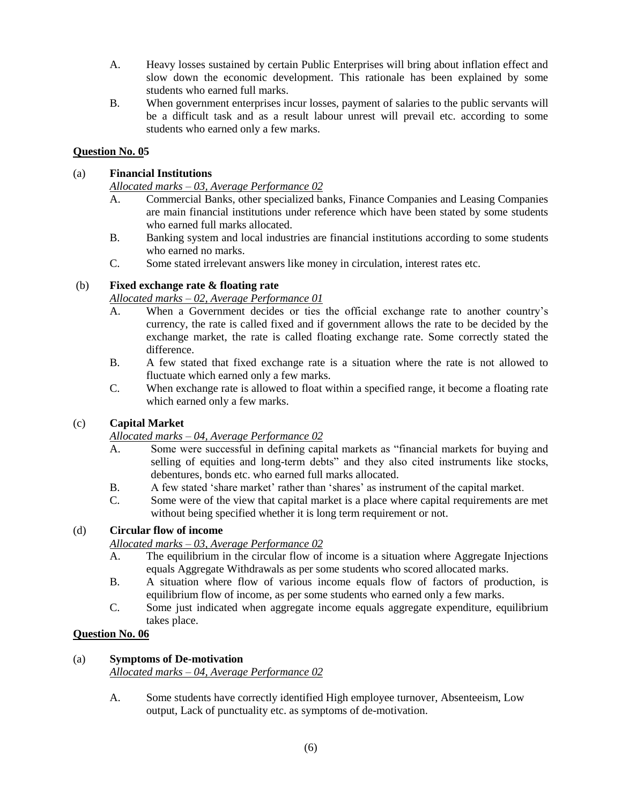- A. Heavy losses sustained by certain Public Enterprises will bring about inflation effect and slow down the economic development. This rationale has been explained by some students who earned full marks.
- B. When government enterprises incur losses, payment of salaries to the public servants will be a difficult task and as a result labour unrest will prevail etc. according to some students who earned only a few marks.

### **Question No. 05**

### (a) **Financial Institutions**

*Allocated marks – 03, Average Performance 02*

- A. Commercial Banks, other specialized banks, Finance Companies and Leasing Companies are main financial institutions under reference which have been stated by some students who earned full marks allocated.
- B. Banking system and local industries are financial institutions according to some students who earned no marks.
- C. Some stated irrelevant answers like money in circulation, interest rates etc.

### (b) **Fixed exchange rate & floating rate**

### *Allocated marks – 02, Average Performance 01*

- A. When a Government decides or ties the official exchange rate to another country's currency, the rate is called fixed and if government allows the rate to be decided by the exchange market, the rate is called floating exchange rate. Some correctly stated the difference.
- B. A few stated that fixed exchange rate is a situation where the rate is not allowed to fluctuate which earned only a few marks.
- C. When exchange rate is allowed to float within a specified range, it become a floating rate which earned only a few marks.

## (c) **Capital Market**

## *Allocated marks – 04, Average Performance 02*

- A. Some were successful in defining capital markets as "financial markets for buying and selling of equities and long-term debts" and they also cited instruments like stocks, debentures, bonds etc. who earned full marks allocated.
- B. A few stated 'share market' rather than 'shares' as instrument of the capital market.
- C. Some were of the view that capital market is a place where capital requirements are met without being specified whether it is long term requirement or not.

#### (d) **Circular flow of income**

*Allocated marks – 03, Average Performance 02*

- A. The equilibrium in the circular flow of income is a situation where Aggregate Injections equals Aggregate Withdrawals as per some students who scored allocated marks.
- B. A situation where flow of various income equals flow of factors of production, is equilibrium flow of income, as per some students who earned only a few marks.
- C. Some just indicated when aggregate income equals aggregate expenditure, equilibrium takes place.

#### **Question No. 06**

#### (a) **Symptoms of De-motivation**

*Allocated marks – 04, Average Performance 02*

A. Some students have correctly identified High employee turnover, Absenteeism, Low output, Lack of punctuality etc. as symptoms of de-motivation.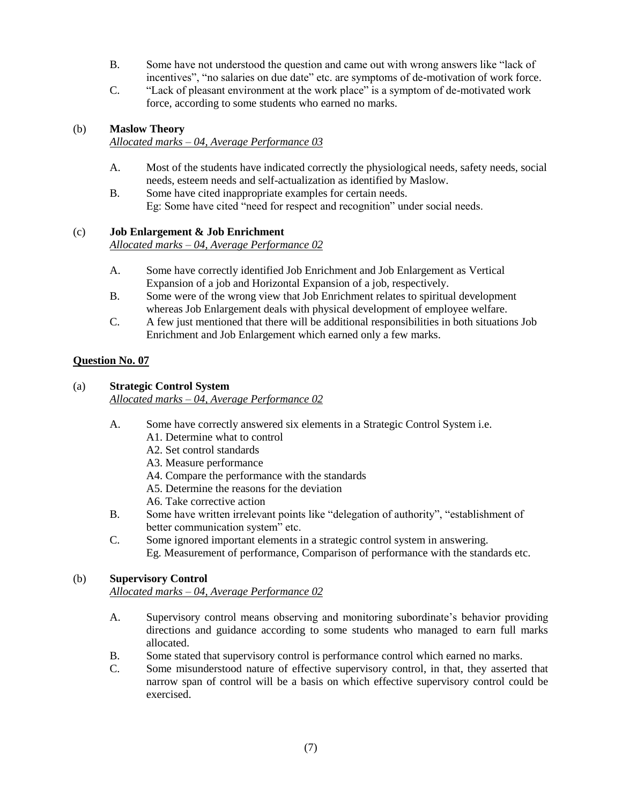- B. Some have not understood the question and came out with wrong answers like "lack of incentives", "no salaries on due date" etc. are symptoms of de-motivation of work force.
- C. "Lack of pleasant environment at the work place" is a symptom of de-motivated work force, according to some students who earned no marks.

## (b) **Maslow Theory**

*Allocated marks – 04, Average Performance 03*

- A. Most of the students have indicated correctly the physiological needs, safety needs, social needs, esteem needs and self-actualization as identified by Maslow.
- B. Some have cited inappropriate examples for certain needs. Eg: Some have cited "need for respect and recognition" under social needs.

### (c) **Job Enlargement & Job Enrichment**

*Allocated marks – 04, Average Performance 02*

- A. Some have correctly identified Job Enrichment and Job Enlargement as Vertical Expansion of a job and Horizontal Expansion of a job, respectively.
- B. Some were of the wrong view that Job Enrichment relates to spiritual development whereas Job Enlargement deals with physical development of employee welfare.
- C. A few just mentioned that there will be additional responsibilities in both situations Job Enrichment and Job Enlargement which earned only a few marks.

## **Question No. 07**

#### (a) **Strategic Control System**

*Allocated marks – 04, Average Performance 02*

- A. Some have correctly answered six elements in a Strategic Control System i.e.
	- A1. Determine what to control
	- A2. Set control standards
	- A3. Measure performance
	- A4. Compare the performance with the standards
	- A5. Determine the reasons for the deviation
	- A6. Take corrective action
- B. Some have written irrelevant points like "delegation of authority", "establishment of better communication system" etc.
- C. Some ignored important elements in a strategic control system in answering. Eg. Measurement of performance, Comparison of performance with the standards etc.

## (b) **Supervisory Control**

*Allocated marks – 04, Average Performance 02*

- A. Supervisory control means observing and monitoring subordinate's behavior providing directions and guidance according to some students who managed to earn full marks allocated.
- B. Some stated that supervisory control is performance control which earned no marks.
- C. Some misunderstood nature of effective supervisory control, in that, they asserted that narrow span of control will be a basis on which effective supervisory control could be exercised.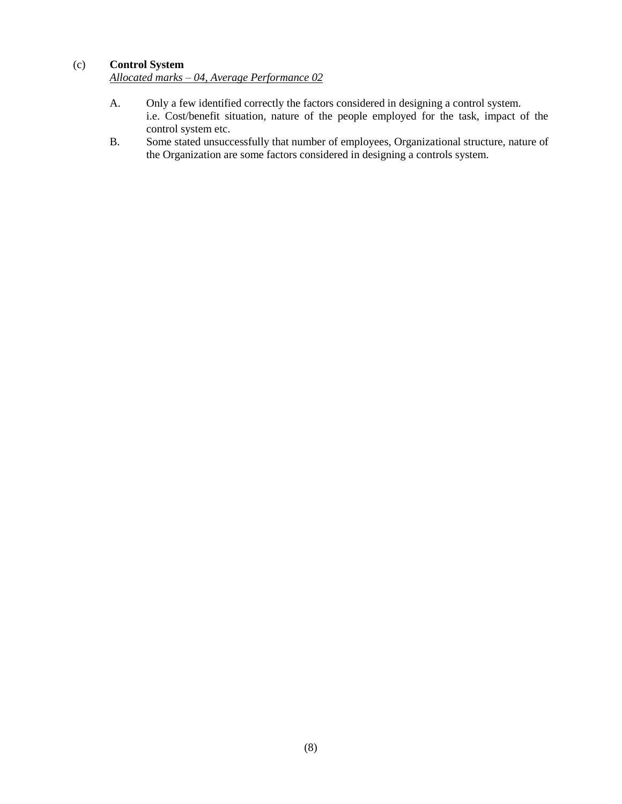## (c) **Control System**

*Allocated marks – 04, Average Performance 02*

- A. Only a few identified correctly the factors considered in designing a control system. i.e. Cost/benefit situation, nature of the people employed for the task, impact of the control system etc.
- B. Some stated unsuccessfully that number of employees, Organizational structure, nature of the Organization are some factors considered in designing a controls system.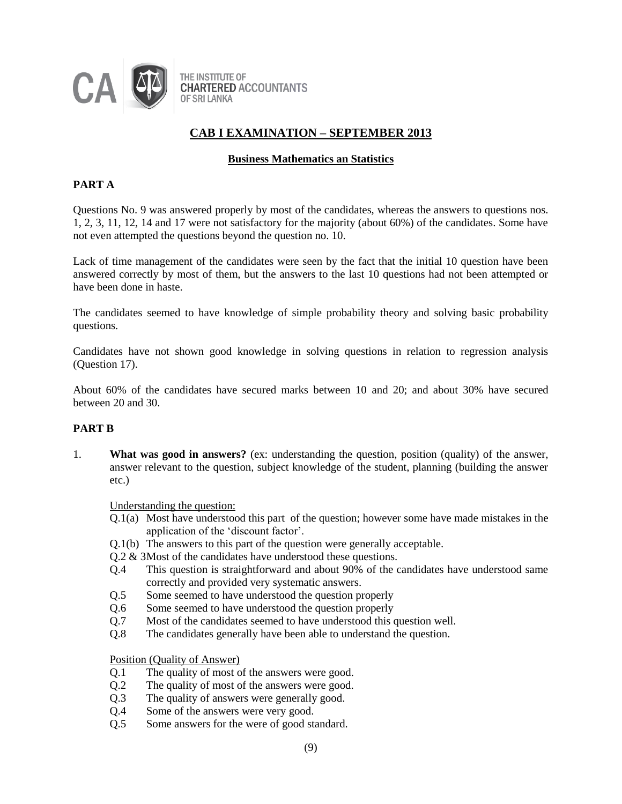

### **Business Mathematics an Statistics**

### **PART A**

Questions No. 9 was answered properly by most of the candidates, whereas the answers to questions nos. 1, 2, 3, 11, 12, 14 and 17 were not satisfactory for the majority (about 60%) of the candidates. Some have not even attempted the questions beyond the question no. 10.

Lack of time management of the candidates were seen by the fact that the initial 10 question have been answered correctly by most of them, but the answers to the last 10 questions had not been attempted or have been done in haste.

The candidates seemed to have knowledge of simple probability theory and solving basic probability questions.

Candidates have not shown good knowledge in solving questions in relation to regression analysis (Question 17).

About 60% of the candidates have secured marks between 10 and 20; and about 30% have secured between 20 and 30.

#### **PART B**

1. **What was good in answers?** (ex: understanding the question, position (quality) of the answer, answer relevant to the question, subject knowledge of the student, planning (building the answer etc.)

Understanding the question:

- Q.1(a) Most have understood this part of the question; however some have made mistakes in the application of the 'discount factor'.
- Q.1(b) The answers to this part of the question were generally acceptable.
- Q.2 & 3Most of the candidates have understood these questions.
- Q.4 This question is straightforward and about 90% of the candidates have understood same correctly and provided very systematic answers.
- Q.5 Some seemed to have understood the question properly
- Q.6 Some seemed to have understood the question properly
- Q.7 Most of the candidates seemed to have understood this question well.
- Q.8 The candidates generally have been able to understand the question.

Position (Quality of Answer)

- Q.1 The quality of most of the answers were good.
- Q.2 The quality of most of the answers were good.
- Q.3 The quality of answers were generally good.
- Q.4 Some of the answers were very good.
- Q.5 Some answers for the were of good standard.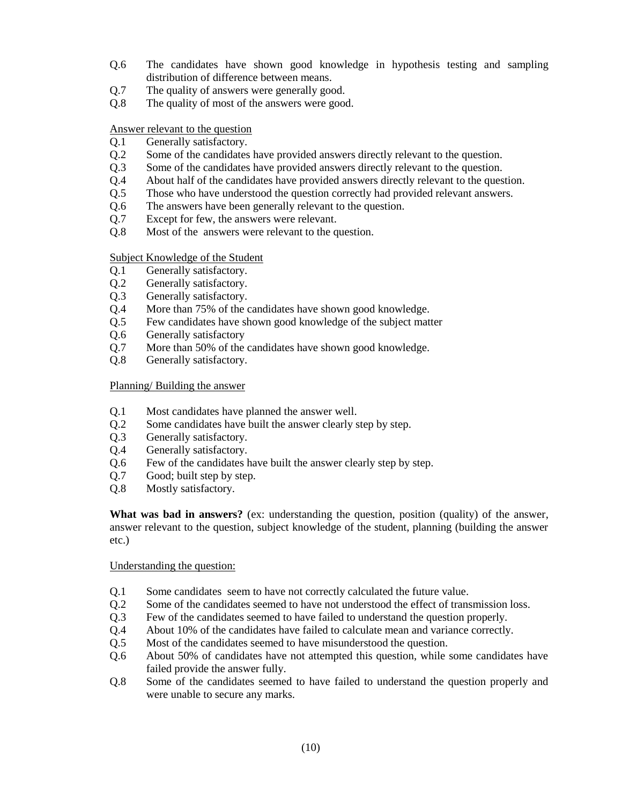- Q.6 The candidates have shown good knowledge in hypothesis testing and sampling distribution of difference between means.
- Q.7 The quality of answers were generally good.
- Q.8 The quality of most of the answers were good.

Answer relevant to the question

- Q.1 Generally satisfactory.
- Q.2 Some of the candidates have provided answers directly relevant to the question.
- Q.3 Some of the candidates have provided answers directly relevant to the question.
- Q.4 About half of the candidates have provided answers directly relevant to the question.
- Q.5 Those who have understood the question correctly had provided relevant answers.
- Q.6 The answers have been generally relevant to the question.
- Q.7 Except for few, the answers were relevant.
- Q.8 Most of the answers were relevant to the question.

Subject Knowledge of the Student

- Q.1 Generally satisfactory.
- Q.2 Generally satisfactory.
- Q.3 Generally satisfactory.
- Q.4 More than 75% of the candidates have shown good knowledge.
- Q.5 Few candidates have shown good knowledge of the subject matter
- Q.6 Generally satisfactory
- Q.7 More than 50% of the candidates have shown good knowledge.
- Q.8 Generally satisfactory.

Planning/ Building the answer

- Q.1 Most candidates have planned the answer well.
- Q.2 Some candidates have built the answer clearly step by step.
- Q.3 Generally satisfactory.
- Q.4 Generally satisfactory.
- Q.6 Few of the candidates have built the answer clearly step by step.
- Q.7 Good; built step by step.
- Q.8 Mostly satisfactory.

**What was bad in answers?** (ex: understanding the question, position (quality) of the answer, answer relevant to the question, subject knowledge of the student, planning (building the answer etc.)

#### Understanding the question:

- Q.1 Some candidates seem to have not correctly calculated the future value.
- Q.2 Some of the candidates seemed to have not understood the effect of transmission loss.
- Q.3 Few of the candidates seemed to have failed to understand the question properly.
- Q.4 About 10% of the candidates have failed to calculate mean and variance correctly.
- Q.5 Most of the candidates seemed to have misunderstood the question.
- Q.6 About 50% of candidates have not attempted this question, while some candidates have failed provide the answer fully.
- Q.8 Some of the candidates seemed to have failed to understand the question properly and were unable to secure any marks.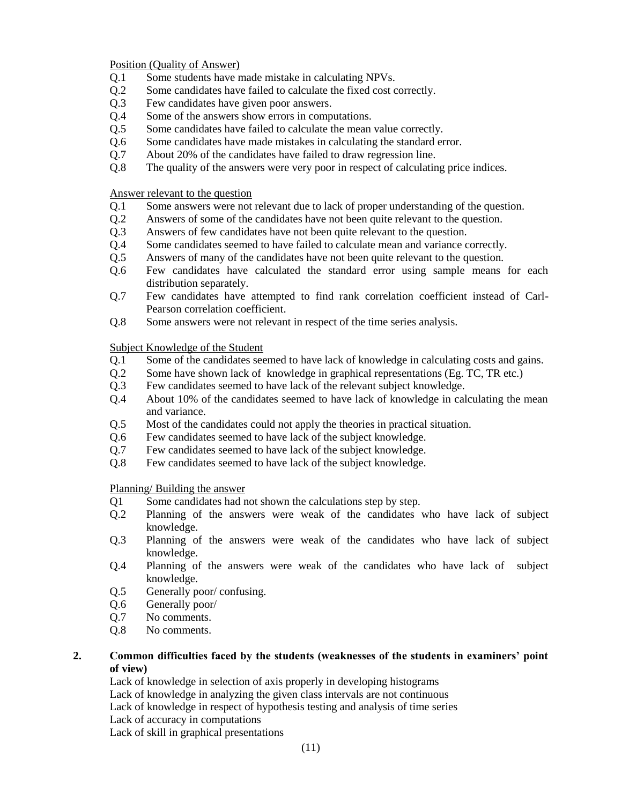Position (Quality of Answer)

- Q.1 Some students have made mistake in calculating NPVs.
- Q.2 Some candidates have failed to calculate the fixed cost correctly.
- Q.3 Few candidates have given poor answers.
- Q.4 Some of the answers show errors in computations.
- Q.5 Some candidates have failed to calculate the mean value correctly.
- Q.6 Some candidates have made mistakes in calculating the standard error.
- Q.7 About 20% of the candidates have failed to draw regression line.
- Q.8 The quality of the answers were very poor in respect of calculating price indices.

#### Answer relevant to the question

- Q.1 Some answers were not relevant due to lack of proper understanding of the question.
- Q.2 Answers of some of the candidates have not been quite relevant to the question.
- Q.3 Answers of few candidates have not been quite relevant to the question.
- Q.4 Some candidates seemed to have failed to calculate mean and variance correctly.
- Q.5 Answers of many of the candidates have not been quite relevant to the question.
- Q.6 Few candidates have calculated the standard error using sample means for each distribution separately.
- Q.7 Few candidates have attempted to find rank correlation coefficient instead of Carl-Pearson correlation coefficient.
- Q.8 Some answers were not relevant in respect of the time series analysis.

#### Subject Knowledge of the Student

- Q.1 Some of the candidates seemed to have lack of knowledge in calculating costs and gains.
- Q.2 Some have shown lack of knowledge in graphical representations (Eg. TC, TR etc.)
- Q.3 Few candidates seemed to have lack of the relevant subject knowledge.
- Q.4 About 10% of the candidates seemed to have lack of knowledge in calculating the mean and variance.
- Q.5 Most of the candidates could not apply the theories in practical situation.
- Q.6 Few candidates seemed to have lack of the subject knowledge.
- Q.7 Few candidates seemed to have lack of the subject knowledge.
- Q.8 Few candidates seemed to have lack of the subject knowledge.

Planning/ Building the answer

- Q1 Some candidates had not shown the calculations step by step.
- Q.2 Planning of the answers were weak of the candidates who have lack of subject knowledge.
- Q.3 Planning of the answers were weak of the candidates who have lack of subject knowledge.
- Q.4 Planning of the answers were weak of the candidates who have lack of subject knowledge.
- Q.5 Generally poor/ confusing.
- Q.6 Generally poor/
- Q.7 No comments.
- Q.8 No comments.

### **2. Common difficulties faced by the students (weaknesses of the students in examiners' point of view)**

Lack of knowledge in selection of axis properly in developing histograms Lack of knowledge in analyzing the given class intervals are not continuous Lack of knowledge in respect of hypothesis testing and analysis of time series Lack of accuracy in computations Lack of skill in graphical presentations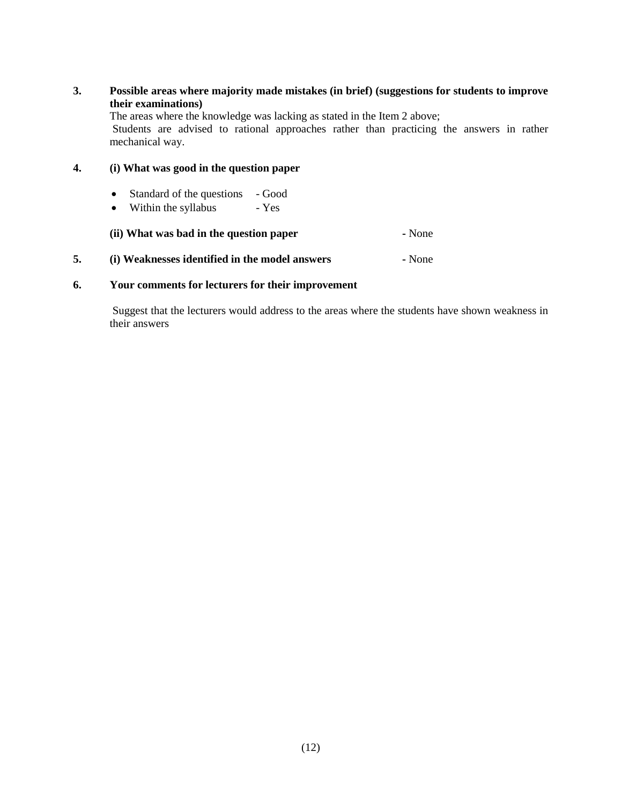### **3. Possible areas where majority made mistakes (in brief) (suggestions for students to improve their examinations)**

The areas where the knowledge was lacking as stated in the Item 2 above; Students are advised to rational approaches rather than practicing the answers in rather mechanical way.

## **4. (i) What was good in the question paper**

- Standard of the questions Good
- Within the syllabus Yes

**(ii) What was bad in the question paper -** None

**5. (i) Weaknesses identified in the model answers -** None

#### **6. Your comments for lecturers for their improvement**

Suggest that the lecturers would address to the areas where the students have shown weakness in their answers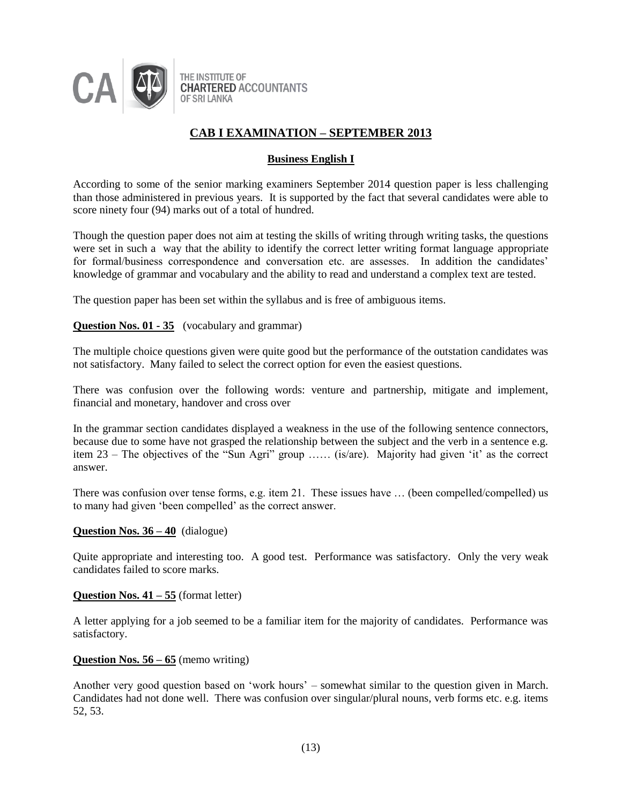

## **Business English I**

According to some of the senior marking examiners September 2014 question paper is less challenging than those administered in previous years. It is supported by the fact that several candidates were able to score ninety four (94) marks out of a total of hundred.

Though the question paper does not aim at testing the skills of writing through writing tasks, the questions were set in such a way that the ability to identify the correct letter writing format language appropriate for formal/business correspondence and conversation etc. are assesses. In addition the candidates' knowledge of grammar and vocabulary and the ability to read and understand a complex text are tested.

The question paper has been set within the syllabus and is free of ambiguous items.

#### **Question Nos. 01 - 35** (vocabulary and grammar)

The multiple choice questions given were quite good but the performance of the outstation candidates was not satisfactory. Many failed to select the correct option for even the easiest questions.

There was confusion over the following words: venture and partnership, mitigate and implement, financial and monetary, handover and cross over

In the grammar section candidates displayed a weakness in the use of the following sentence connectors, because due to some have not grasped the relationship between the subject and the verb in a sentence e.g. item 23 – The objectives of the "Sun Agri" group …… (is/are). Majority had given 'it' as the correct answer.

There was confusion over tense forms, e.g. item 21. These issues have … (been compelled/compelled) us to many had given 'been compelled' as the correct answer.

#### **Question Nos. 36 – 40** (dialogue)

Quite appropriate and interesting too. A good test. Performance was satisfactory. Only the very weak candidates failed to score marks.

#### **Question Nos. 41 – 55** (format letter)

A letter applying for a job seemed to be a familiar item for the majority of candidates. Performance was satisfactory.

#### **Question Nos. 56 – 65** (memo writing)

Another very good question based on 'work hours' – somewhat similar to the question given in March. Candidates had not done well. There was confusion over singular/plural nouns, verb forms etc. e.g. items 52, 53.